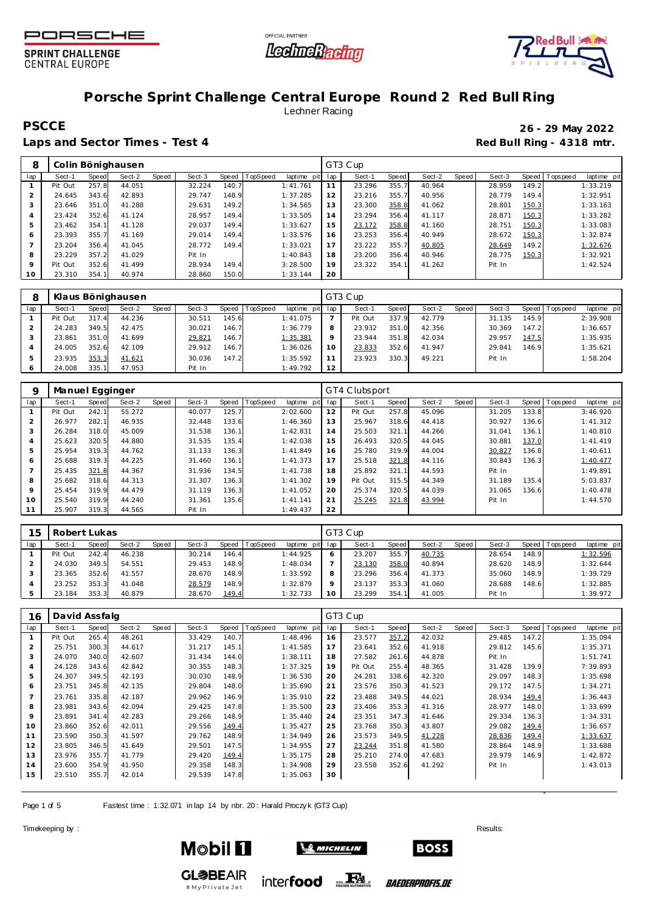





## **Porsche Sprint Challenge Central Europe Round 2 Red Bull Ring** Lechner Racing

Laps and Sector Times - Test 4 **Red Bull Ring - 4318 mtr. Red Bull Ring - 4318 mtr.** 

# **PSCCE 26 - 29 May 2022**

| 8                        |         |       | Colin Bönighausen |       |        |       |                |             |     | GT3 Cup |       |        |       |        |       |                |             |
|--------------------------|---------|-------|-------------------|-------|--------|-------|----------------|-------------|-----|---------|-------|--------|-------|--------|-------|----------------|-------------|
| lap                      | Sect-1  | Speed | Sect-2            | Speed | Sect-3 |       | Speed TopSpeed | laptime pit | lap | Sect-1  | Speed | Sect-2 | Speed | Sect-3 |       | Speed Topspeed | laptime pit |
|                          | Pit Out | 257.8 | 44.051            |       | 32.224 | 140.7 |                | 1:41.761    | 11  | 23.296  | 355.7 | 40.964 |       | 28.959 | 149.2 |                | 1:33.219    |
| 2                        | 24.645  | 343.6 | 42.893            |       | 29.747 | 148.9 |                | 1:37.285    | 12  | 23.216  | 355.7 | 40.956 |       | 28.779 | 149.4 |                | 1:32.951    |
| 3                        | 23.646  | 351.0 | 41.288            |       | 29.631 | 149.2 |                | 1:34.565    | 13  | 23.300  | 358.8 | 41.062 |       | 28.801 | 150.3 |                | 1:33.163    |
| 4                        | 23.424  | 352.6 | 41.124            |       | 28.957 | 149.4 |                | 1:33.505    | 14  | 23.294  | 356.4 | 41.117 |       | 28.871 | 150.3 |                | 1:33.282    |
| 5                        | 23.462  | 354.1 | 41.128            |       | 29.037 | 149.4 |                | 1:33.627    | 15  | 23.172  | 358.8 | 41.160 |       | 28.751 | 150.3 |                | 1:33.083    |
| 6                        | 23.393  | 355.7 | 41.169            |       | 29.014 | 149.4 |                | 1:33.576    | 16  | 23.253  | 356.4 | 40.949 |       | 28.672 | 150.3 |                | 1:32.874    |
| $\overline{\phantom{a}}$ | 23.204  | 356.4 | 41.045            |       | 28.772 | 149.4 |                | 1:33.021    | 17  | 23.222  | 355.7 | 40.805 |       | 28.649 | 149.2 |                | 1:32.676    |
| 8                        | 23.229  | 357.2 | 41.029            |       | Pit In |       |                | 1:40.843    | 18  | 23.200  | 356.4 | 40.946 |       | 28.775 | 150.3 |                | 1:32.921    |
| 9                        | Pit Out | 352.6 | 41.499            |       | 28.934 | 149.4 |                | 3:28.500    | 19  | 23.322  | 354.1 | 41.262 |       | Pit In |       |                | 1:42.524    |
| 10                       | 23.310  | 354.1 | 40.974            |       | 28.860 | 150.0 |                | 1:33.144    | 20  |         |       |        |       |        |       |                |             |

|     |         |       | Klaus Bönighausen |       |        |           |                 |                 |     | GT3 Cup |       |        |       |        |       |                |             |
|-----|---------|-------|-------------------|-------|--------|-----------|-----------------|-----------------|-----|---------|-------|--------|-------|--------|-------|----------------|-------------|
| lap | Sect-1  | Speed | Sect-2            | Speed | Sect-3 | Speed   T | <b>TopSpeed</b> | laptime pit     | lap | Sect-1  | Speed | Sect-2 | Speed | Sect-3 |       | Speed Topspeed | laptime pit |
|     | Pit Out | 317.4 | 44.236            |       | 30.511 | 145.6     |                 | 1:41.075        |     | Pit Out | 337.9 | 42.779 |       | 31.135 | 145.9 |                | 2:39.908    |
|     | 24.283  | 349.5 | 42.475            |       | 30.021 | 146.7     |                 | 1:36.779        |     | 23.932  | 351.0 | 42.356 |       | 30.369 | 147.2 |                | 1:36.657    |
|     | 23.861  | 351.0 | 41.699            |       | 29.821 | 146.7     |                 | <u>1:35.381</u> |     | 23.944  | 351.8 | 42.034 |       | 29.957 | 147.5 |                | 1:35.935    |
|     | 24.005  | 352.6 | 42.109            |       | 29.912 | 146.7     |                 | 1:36.026        |     | 23.833  | 352.6 | 41.947 |       | 29.841 | 146.9 |                | 1:35.621    |
|     | 23.935  | 353.3 | 41.621            |       | 30.036 | 147.2     |                 | 1:35.592        |     | 23.923  | 330.3 | 49.221 |       | Pit In |       |                | 1:58.204    |
|     | 24.008  | 335.1 | 47.953            |       | Pit In |           |                 | 1:49.792        | 12  |         |       |        |       |        |       |                |             |

| 9   | Manuel Egginger |       |        |       |        |       |          |             |     | GT4 Clubsport |       |        |       |        |       |                |             |
|-----|-----------------|-------|--------|-------|--------|-------|----------|-------------|-----|---------------|-------|--------|-------|--------|-------|----------------|-------------|
| lap | Sect-1          | Speed | Sect-2 | Speed | Sect-3 | Speed | TopSpeed | laptime pit | lap | Sect-1        | Speed | Sect-2 | Speed | Sect-3 |       | Speed Topspeed | laptime pit |
|     | Pit Out         | 242.1 | 55.272 |       | 40.077 | 125.7 |          | 2:02.600    | 12  | Pit Out       | 257.8 | 45.096 |       | 31.205 | 133.8 |                | 3:46.920    |
|     | 26.977          | 282.1 | 46.935 |       | 32.448 | 133.6 |          | 1:46.360    | 13  | 25.967        | 318.6 | 44.418 |       | 30.927 | 136.6 |                | 1:41.312    |
| 3   | 26.284          | 318.0 | 45.009 |       | 31.538 | 136.1 |          | 1:42.831    | 14  | 25.503        | 321.1 | 44.266 |       | 31.041 | 136.1 |                | 1:40.810    |
| 4   | 25.623          | 320.5 | 44.880 |       | 31.535 | 135.4 |          | 1:42.038    | 15  | 26.493        | 320.5 | 44.045 |       | 30.881 | 137.0 |                | 1: 41.419   |
| 5   | 25.954          | 319.3 | 44.762 |       | 31.133 | 136.3 |          | 1:41.849    | 16  | 25.780        | 319.9 | 44.004 |       | 30.827 | 136.8 |                | 1:40.611    |
| 6   | 25.688          | 319.3 | 44.225 |       | 31.460 | 136.1 |          | 1:41.373    | 17  | 25.518        | 321.8 | 44.116 |       | 30.843 | 136.3 |                | 1:40.477    |
|     | 25.435          | 321.8 | 44.367 |       | 31.936 | 134.5 |          | 1:41.738    | 18  | 25.892        | 321.1 | 44.593 |       | Pit In |       |                | 1:49.891    |
| 8   | 25.682          | 318.6 | 44.313 |       | 31.307 | 136.3 |          | 1: 41.302   | 19  | Pit Out       | 315.5 | 44.349 |       | 31.189 | 135.4 |                | 5:03.837    |
| 9   | 25.454          | 319.9 | 44.479 |       | 31.119 | 136.3 |          | 1:41.052    | 20  | 25.374        | 320.5 | 44.039 |       | 31.065 | 136.6 |                | 1:40.478    |
| 10  | 25.540          | 319.9 | 44.240 |       | 31.361 | 135.6 |          | 1: 41.141   | 21  | 25.245        | 321.8 | 43.994 |       | Pit In |       |                | 1:44.570    |
|     | 25.907          | 319.3 | 44.565 |       | Pit In |       |          | 1:49.437    | 22  |               |       |        |       |        |       |                |             |

| 15  | Robert Lukas<br>Speed TopSpeed<br>Sect-2<br>Speed<br>Sect-3<br>Sect-1<br>Speed |       |        |  |        |       |  |             |     | GT3 Cup |       |        |       |        |       |            |             |
|-----|--------------------------------------------------------------------------------|-------|--------|--|--------|-------|--|-------------|-----|---------|-------|--------|-------|--------|-------|------------|-------------|
| lap |                                                                                |       |        |  |        |       |  | laptime pit | lap | Sect-1  | Speed | Sect-2 | Speed | Sect-3 | Speed | Tops pee d | laptime pit |
|     | Pit Out                                                                        | 242.4 | 46.238 |  | 30.214 | 146.4 |  | 1:44.925    | O   | 23.207  | 355.7 | 40.735 |       | 28.654 | 148.9 |            | 1:32.596    |
|     | 24.030                                                                         | 349.5 | 54.551 |  | 29.453 | 148.9 |  | 1:48.034    |     | 23.130  | 358.0 | 40.894 |       | 28.620 | 148.9 |            | 1:32.644    |
|     | 23.365                                                                         | 352.6 | 41.557 |  | 28.670 | 148.9 |  | 1:33.592    | 8   | 23.296  | 356.4 | 41.373 |       | 35.060 | 148.9 |            | 1:39.729    |
|     | 23.252                                                                         | 353.3 | 41.048 |  | 28.579 | 148.9 |  | 1:32.879    | o   | 23.137  | 353.3 | 41.060 |       | 28.688 | 148.6 |            | 1:32.885    |
|     | 23.184                                                                         | 353.3 | 40.879 |  | 28.670 | 149.4 |  | 1:32.733    | 10  | 23.299  | 354.1 | 41.005 |       | Pit In |       |            | 1:39.972    |

| 16  | David Assfalg |       |        |       |        |       |          |             |     | GT3 Cup |       |        |       |        |       |            |             |
|-----|---------------|-------|--------|-------|--------|-------|----------|-------------|-----|---------|-------|--------|-------|--------|-------|------------|-------------|
| lap | Sect-1        | Speed | Sect-2 | Speed | Sect-3 | Speed | TopSpeed | laptime pit | lap | Sect-1  | Speed | Sect-2 | Speed | Sect-3 | Speed | Tops pee d | laptime pit |
|     | Pit Out       | 265.4 | 48.261 |       | 33.429 | 140.7 |          | 1:48.496    | 16  | 23.577  | 357.2 | 42.032 |       | 29.485 | 147.2 |            | 1:35.094    |
| 2   | 25.751        | 300.3 | 44.617 |       | 31.217 | 145.1 |          | 1:41.585    | 17  | 23.641  | 352.6 | 41.918 |       | 29.812 | 145.6 |            | 1:35.371    |
| 3   | 24.070        | 340.0 | 42.607 |       | 31.434 | 144.0 |          | 1:38.111    | 18  | 27.582  | 261.6 | 44.878 |       | Pit In |       |            | 1:51.741    |
| 4   | 24.128        | 343.6 | 42.842 |       | 30.355 | 148.3 |          | 1:37.325    | 19  | Pit Out | 255.4 | 48.365 |       | 31.428 | 139.9 |            | 7:39.893    |
| 5   | 24.307        | 349.5 | 42.193 |       | 30.030 | 148.9 |          | 1:36.530    | 20  | 24.281  | 338.6 | 42.320 |       | 29.097 | 148.3 |            | 1:35.698    |
| 6   | 23.751        | 345.8 | 42.135 |       | 29.804 | 148.0 |          | 1:35.690    | 21  | 23.576  | 350.3 | 41.523 |       | 29.172 | 147.5 |            | 1:34.271    |
|     | 23.761        | 335.8 | 42.187 |       | 29.962 | 146.9 |          | 1:35.910    | 22  | 23.488  | 349.5 | 44.021 |       | 28.934 | 149.4 |            | 1:36.443    |
| 8   | 23.981        | 343.6 | 42.094 |       | 29.425 | 147.8 |          | 1:35.500    | 23  | 23.406  | 353.3 | 41.316 |       | 28.977 | 148.0 |            | 1:33.699    |
| 9   | 23.891        | 341.4 | 42.283 |       | 29.266 | 148.9 |          | 1:35.440    | 24  | 23.351  | 347.3 | 41.646 |       | 29.334 | 136.3 |            | 1:34.331    |
| 10  | 23.860        | 352.6 | 42.011 |       | 29.556 | 149.4 |          | 1:35.427    | 25  | 23.768  | 350.3 | 43.807 |       | 29.082 | 149.4 |            | 1:36.657    |
| 11  | 23.590        | 350.3 | 41.597 |       | 29.762 | 148.9 |          | 1:34.949    | 26  | 23.573  | 349.5 | 41.228 |       | 28.836 | 149.4 |            | 1:33.637    |
| 12  | 23.805        | 346.5 | 41.649 |       | 29.501 | 147.5 |          | 1:34.955    | 27  | 23.244  | 351.8 | 41.580 |       | 28.864 | 148.9 |            | 1:33.688    |
| 13  | 23.976        | 355.7 | 41.779 |       | 29.420 | 149.4 |          | 1:35.175    | 28  | 25.210  | 274.0 | 47.683 |       | 29.979 | 146.9 |            | 1:42.872    |
| 14  | 23.600        | 354.9 | 41.950 |       | 29.358 | 148.3 |          | 1:34.908    | 29  | 23.558  | 352.6 | 41.292 |       | Pit In |       |            | 1:43.013    |
| 15  | 23.510        | 355.7 | 42.014 |       | 29.539 | 147.8 |          | 1:35.063    | 30  |         |       |        |       |        |       |            |             |

Page 1 of 5 Fastest time : 1:32.071 in lap 14 by nbr. 20 : Harald Proczy k (GT3 Cup)

#MyPrivateJet

Timekeeping by : Results:  $\blacksquare$ 





inter**food** FALL

```
BAEDERPROFIS.DE
```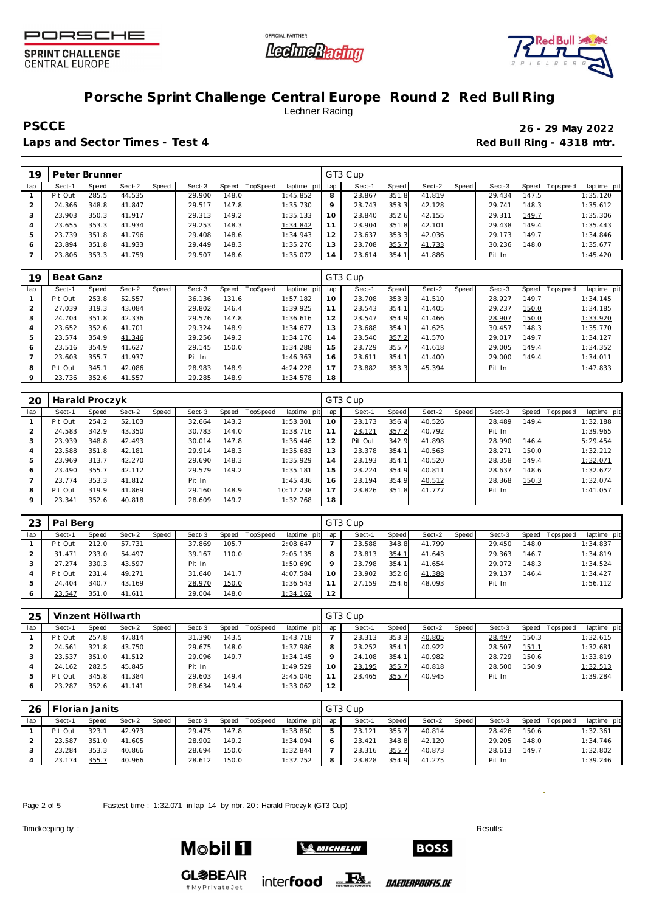





### **Porsche Sprint Challenge Central Europe Round 2 Red Bull Ring** Lechner Racing

Laps and Sector Times - Test 4 **Red Bull Ring - 4318 mtr. Red Bull Ring - 4318 mtr.** 

**PSCCE 26 - 29 May 2022**

| 19  | Peter Brunner |           |        |       |        |       |          |                |     | GT3 Cup |       |        |       |        |       |                |             |
|-----|---------------|-----------|--------|-------|--------|-------|----------|----------------|-----|---------|-------|--------|-------|--------|-------|----------------|-------------|
| lap | Sect-1        | Speed     | Sect-2 | Speed | Sect-3 | Speed | TopSpeed | laptime<br>pit | lap | Sect-1  | Speed | Sect-2 | Speed | Sect-3 |       | Speed Topspeed | laptime pit |
|     | Pit Out       | 285.5     | 44.535 |       | 29.900 | 148.0 |          | 1:45.852       | 8   | 23.867  | 351.8 | 41.819 |       | 29.434 | 147.5 |                | 1:35.120    |
|     | 24.366        | 348.8     | 41.847 |       | 29.517 | 147.8 |          | 1:35.730       | Q   | 23.743  | 353.3 | 42.128 |       | 29.741 | 148.3 |                | 1:35.612    |
|     | 23.903        | 350.3     | 41.917 |       | 29.313 | 149.2 |          | 1:35.133       | 10  | 23.840  | 352.6 | 42.155 |       | 29.311 | 149.7 |                | 1:35.306    |
|     | 23.655        | 353.3     | 41.934 |       | 29.253 | 148.3 |          | 1:34.842       | 11  | 23.904  | 351.8 | 42.101 |       | 29.438 | 149.4 |                | 1:35.443    |
|     | 23.739        | 351<br>-8 | 41.796 |       | 29.408 | 148.6 |          | 1:34.943       | 12  | 23.637  | 353.3 | 42.036 |       | 29.173 | 149.7 |                | 1:34.846    |
| 6   | 23.894        | 351.8     | 41.933 |       | 29.449 | 148.3 |          | 1:35.276       | 13  | 23.708  | 355.7 | 41.733 |       | 30.236 | 148.0 |                | 1:35.677    |
|     | 23.806        | 353.3     | 41.759 |       | 29.507 | 148.6 |          | 1:35.072       | 14  | 23.614  | 354.1 | 41.886 |       | Pit In |       |                | 1:45.420    |

| 19  | Beat Ganz |              |        |       |        |       |          |                |     | GT3 Cup |       |        |       |        |       |                |             |
|-----|-----------|--------------|--------|-------|--------|-------|----------|----------------|-----|---------|-------|--------|-------|--------|-------|----------------|-------------|
| lap | Sect-1    | <b>Speed</b> | Sect-2 | Speed | Sect-3 | Speed | TopSpeed | laptime<br>pit | lap | Sect-1  | Speed | Sect-2 | Speed | Sect-3 |       | Speed Topspeed | laptime pit |
|     | Pit Out   | 253.8        | 52.557 |       | 36.136 | 131.6 |          | 1:57.182       | 10  | 23.708  | 353.3 | 41.510 |       | 28.927 | 149.7 |                | 1:34.145    |
|     | 27.039    | 319.3        | 43.084 |       | 29.802 | 146.4 |          | 1:39.925       | 11  | 23.543  | 354.1 | 41.405 |       | 29.237 | 150.0 |                | 1:34.185    |
|     | 24.704    | 351.8        | 42.336 |       | 29.576 | 147.8 |          | 1:36.616       | 12  | 23.547  | 354.9 | 41.466 |       | 28.907 | 150.0 |                | 1:33.920    |
| 4   | 23.652    | 352.6        | 41.701 |       | 29.324 | 148.9 |          | 1:34.677       | 13  | 23.688  | 354.1 | 41.625 |       | 30.457 | 148.3 |                | 1:35.770    |
| 5   | 23.574    | 354.9        | 41.346 |       | 29.256 | 149.2 |          | 1:34.176       | 14  | 23.540  | 357.2 | 41.570 |       | 29.017 | 149.7 |                | 1:34.127    |
| 6   | 23.516    | 354.9        | 41.627 |       | 29.145 | 150.0 |          | 1:34.288       | 15  | 23.729  | 355.7 | 41.618 |       | 29.005 | 149.4 |                | 1:34.352    |
|     | 23.603    | 355.7        | 41.937 |       | Pit In |       |          | 1:46.363       | 16  | 23.611  | 354.1 | 41.400 |       | 29.000 | 149.4 |                | 1:34.011    |
| 8   | Pit Out   | 345.1        | 42.086 |       | 28.983 | 148.9 |          | 4:24.228       | 17  | 23.882  | 353.3 | 45.394 |       | Pit In |       |                | 1:47.833    |
|     | 23.736    | 352.6        | 41.557 |       | 29.285 | 148.9 |          | 1:34.578       | 18  |         |       |        |       |        |       |                |             |

| 20  | Harald Proczyk |              |        |       |        |         |                 |             |     | GT3 Cup |       |        |       |        |       |           |             |
|-----|----------------|--------------|--------|-------|--------|---------|-----------------|-------------|-----|---------|-------|--------|-------|--------|-------|-----------|-------------|
| lap | Sect-1         | <b>Speed</b> | Sect-2 | Speed | Sect-3 | Speed I | <b>TopSpeed</b> | laptime pit | lap | Sect-1  | Speed | Sect-2 | Speed | Sect-3 | Speed | Tops peed | laptime pit |
|     | Pit Out        | 254.2        | 52.103 |       | 32.664 | 143.2   |                 | 1:53.301    | 10  | 23.173  | 356.4 | 40.526 |       | 28.489 | 149.4 |           | 1:32.188    |
|     | 24.583         | 342.9        | 43.350 |       | 30.783 | 144.0   |                 | 1:38.716    | 11  | 23.121  | 357.2 | 40.792 |       | Pit In |       |           | 1:39.965    |
|     | 23.939         | 348.8        | 42.493 |       | 30.014 | 147.8   |                 | 1:36.446    | 12  | Pit Out | 342.9 | 41.898 |       | 28.990 | 146.4 |           | 5:29.454    |
|     | 23.588         | 351.8        | 42.181 |       | 29.914 | 148.3   |                 | 1:35.683    | 13  | 23.378  | 354.1 | 40.563 |       | 28.271 | 150.0 |           | 1:32.212    |
|     | 23.969         | 313.7        | 42.270 |       | 29.690 | 148.3   |                 | 1:35.929    | 14  | 23.193  | 354.1 | 40.520 |       | 28.358 | 149.4 |           | 1:32.071    |
| 6   | 23.490         | 355.7        | 42.112 |       | 29.579 | 149.2   |                 | 1:35.181    | 15  | 23.224  | 354.9 | 40.811 |       | 28.637 | 148.6 |           | 1:32.672    |
|     | 23.774         | 353.3        | 41.812 |       | Pit In |         |                 | 1:45.436    | 16  | 23.194  | 354.9 | 40.512 |       | 28.368 | 150.3 |           | 1:32.074    |
| 8   | Pit Out        | 319.9        | 41.869 |       | 29.160 | 148.9   |                 | 10:17.238   | 17  | 23.826  | 351.8 | 41.777 |       | Pit In |       |           | 1:41.057    |
|     | 23.341         | 352.6        | 40.818 |       | 28.609 | 149.2   |                 | 1:32.768    | 18  |         |       |        |       |        |       |           |             |

| 23  | Pal Berg |              |        |       |        |         |          |             |         | GT3 Cup |       |        |       |        |         |            |             |
|-----|----------|--------------|--------|-------|--------|---------|----------|-------------|---------|---------|-------|--------|-------|--------|---------|------------|-------------|
| lap | Sect-1   | <b>Speed</b> | Sect-2 | Speed | Sect-3 | Speed I | TopSpeed | laptime pit | lap     | Sect-1  | Speed | Sect-2 | Speed | Sect-3 | Speed 1 | Tops pee d | laptime pit |
|     | Pit Out  | 212.0        | 57.731 |       | 37.869 | 105.7   |          | 2:08.647    |         | 23.588  | 348.8 | 41.799 |       | 29.450 | 148.0   |            | 1:34.837    |
|     | 31.471   | 233.0        | 54.497 |       | 39.167 | 110.0   |          | 2:05.135    | 8       | 23.813  | 354.1 | 41.643 |       | 29.363 | 146.7   |            | 1:34.819    |
|     | 27.274   | 330.3        | 43.597 |       | Pit In |         |          | 1:50.690    | $\circ$ | 23.798  | 354.1 | 41.654 |       | 29.072 | 148.3   |            | 1:34.524    |
|     | Pit Out  | 231.4        | 49.271 |       | 31.640 | 141.7   |          | 4:07.584    | 10      | 23.902  | 352.6 | 41.388 |       | 29.137 | 146.4   |            | 1:34.427    |
|     | 24.404   | 340.7        | 43.169 |       | 28.970 | 150.0   |          | 1:36.543    |         | 27.159  | 254.6 | 48.093 |       | Pit In |         |            | 1:56.112    |
|     | 23.547   | 351.0        | 41.611 |       | 29.004 | 148.0   |          | 1:34.162    | 12      |         |       |        |       |        |         |            |             |

| 25  |         |       | Vinzent Höllwarth |       |        |       |          |             |     | GT3 Cup |       |        |       |        |       |                 |             |
|-----|---------|-------|-------------------|-------|--------|-------|----------|-------------|-----|---------|-------|--------|-------|--------|-------|-----------------|-------------|
| lap | Sect-1  | Speed | Sect-2            | Speed | Sect-3 | Speed | TopSpeed | laptime pit | lap | Sect-1  | Speed | Sect-2 | Speed | Sect-3 |       | Speed Tops peed | laptime pit |
|     | Pit Out | 257.8 | 47.814            |       | 31.390 | 143.5 |          | 1:43.718    |     | 23.313  | 353.3 | 40.805 |       | 28.497 | 150.3 |                 | 1:32.615    |
|     | 24.561  | 321.8 | 43.750            |       | 29.675 | 148.0 |          | 1:37.986    | 8   | 23.252  | 354.1 | 40.922 |       | 28.507 | 151.1 |                 | 1:32.681    |
|     | 23.537  | 351.0 | 41.512            |       | 29.096 | 149.7 |          | 1:34.145    | Q   | 24.108  | 354.1 | 40.982 |       | 28.729 | 150.6 |                 | 1:33.819    |
|     | 24.162  | 282.5 | 45.845            |       | Pit In |       |          | 1:49.529    | 10  | 23.195  | 355.7 | 40.818 |       | 28.500 | 150.9 |                 | 1:32.513    |
|     | Pit Out | 345.8 | 41.384            |       | 29.603 | 149.4 |          | 2:45.046    |     | 23.465  | 355.7 | 40.945 |       | Pit In |       |                 | 1:39.284    |
|     | 23.287  | 352.6 | 41.141            |       | 28.634 | 149.4 |          | 1:33.062    | 12  |         |       |        |       |        |       |                 |             |

| 26  |         | Torian Janits |        |       |        |       |                |                 | GT3 Cup |       |        |       |        |       |                 |             |
|-----|---------|---------------|--------|-------|--------|-------|----------------|-----------------|---------|-------|--------|-------|--------|-------|-----------------|-------------|
| lap | Sect-1  | Speed         | Sect-2 | Speed | Sect-3 |       | Speed TopSpeed | laptime pit lap | Sect-1  | Speed | Sect-2 | Speed | Sect-3 |       | Speed Tops peed | laptime pit |
|     | Pit Out | 323.11        | 42.973 |       | 29.475 | 147.8 |                | 1:38.850        | 23.121  | 355.7 | 40.814 |       | 28.426 | 150.6 |                 | 1:32.361    |
|     | 23.587  | 351.0         | 41.605 |       | 28.902 | 149.2 |                | 1:34.094        | 23.421  | 348.8 | 42.120 |       | 29.205 | 148.0 |                 | 1:34.746    |
|     | 23.284  | 353.3         | 40.866 |       | 28.694 | 150.0 |                | 1:32.844        | 23.316  | 355.7 | 40.873 |       | 28.613 | 149.7 |                 | 1:32.802    |
|     | 23.174  | 355.7         | 40.966 |       | 28.612 | 150.0 |                | 1:32.752        | 23.828  | 354.9 | 41.275 |       | Pit In |       |                 | 1:39.246    |

Page 2 of 5 Fastest time : 1:32.071 in lap 14 by nbr. 20 : Harald Proczy k (GT3 Cup)

Timekeeping by : Results:  $\blacksquare$ 

**Mobil 1** 



**GL参BEAIR** # My Private Jet

inter**food** FALL

*BAEDERPROFIS.DE* 

**BOSS**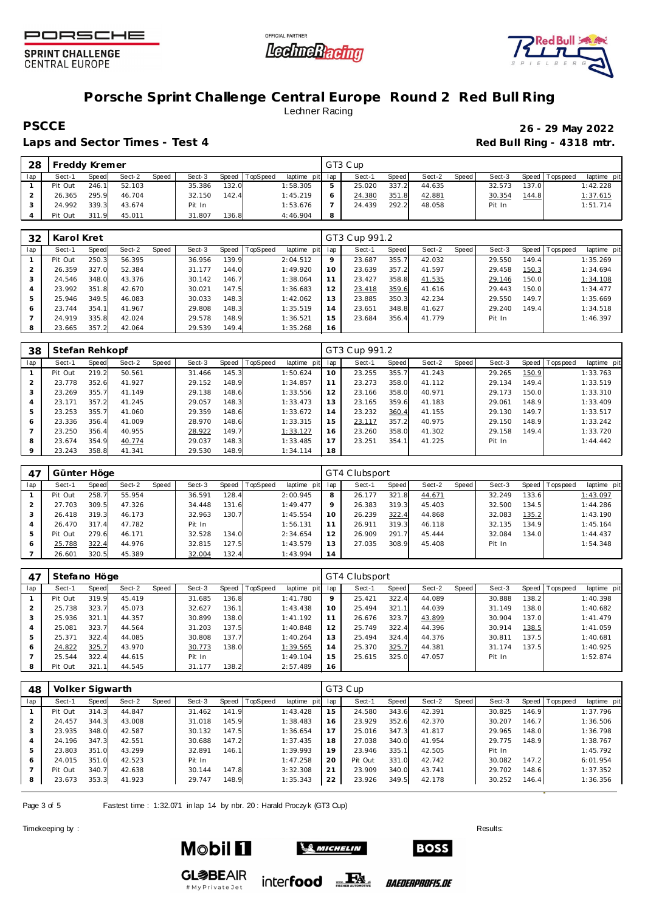





## **Porsche Sprint Challenge Central Europe Round 2 Red Bull Ring** Lechner Racing

**PSCCE 26 - 29 May 2022**

Laps and Sector Times - Test 4 *Red Bull Ring - 4318 mtr.* **Red Bull Ring - 4318 mtr.** 

| 28             | Freddy Kremer |       |        |       |        |       |                |             |                | GT3 Cup |       |        |       |        |       |                |            |  |
|----------------|---------------|-------|--------|-------|--------|-------|----------------|-------------|----------------|---------|-------|--------|-------|--------|-------|----------------|------------|--|
| lap            | Sect-1        | Speed | Sect-2 | Speed | Sect-3 |       | Speed TopSpeed | laptime pit | lap            | Sect-1  | Speed | Sect-2 | Speed | Sect-3 |       | Speed Topspeed | laptime pi |  |
|                | Pit Out       | 246.1 | 52.103 |       | 35.386 | 132.0 |                | 1:58.305    | 5              | 25.020  | 337.2 | 44.635 |       | 32.573 | 137.0 |                | 1:42.228   |  |
| $\overline{2}$ | 26.365        | 295.9 | 46.704 |       | 32.150 | 142.4 |                | 1:45.219    | 6              | 24.380  | 351.8 | 42.881 |       | 30.354 | 144.8 |                | 1:37.615   |  |
| 3              | 24.992        | 339.3 | 43.674 |       | Pit In |       |                | 1:53.676    | $\overline{ }$ | 24.439  | 292.2 | 48.058 |       | Pit In |       |                | 1:51.714   |  |
| 4              | Pit Out       | 311.9 | 45.011 |       | 31.807 | 136.8 |                | 4:46.904    | 8              |         |       |        |       |        |       |                |            |  |

| 32  | Karol Kret |       |        |       |        |       |          |                 |         | GT3 Cup 991.2 |       |        |         |        |       |                   |             |
|-----|------------|-------|--------|-------|--------|-------|----------|-----------------|---------|---------------|-------|--------|---------|--------|-------|-------------------|-------------|
| lap | Sect-1     | Speed | Sect-2 | Speed | Sect-3 | Speed | TopSpeed | laptime pit lap |         | Sect-1        | Speed | Sect-2 | Speed ' | Sect-3 |       | Speed   Tops peed | laptime pit |
|     | Pit Out    | 250.3 | 56.395 |       | 36.956 | 139.9 |          | 2:04.512        | $\circ$ | 23.687        | 355.7 | 42.032 |         | 29.550 | 149.4 |                   | 1:35.269    |
|     | 26.359     | 327.0 | 52.384 |       | 31.177 | 144.0 |          | 1:49.920        | 10      | 23.639        | 357.2 | 41.597 |         | 29.458 | 150.3 |                   | 1:34.694    |
|     | 24.546     | 348.0 | 43.376 |       | 30.142 | 146.7 |          | 1:38.064        | 11      | 23.427        | 358.8 | 41.535 |         | 29.146 | 150.0 |                   | 1:34.108    |
|     | 23.992     | 351.8 | 42.670 |       | 30.021 | 147.5 |          | 1:36.683        | 12      | 23.418        | 359.6 | 41.616 |         | 29.443 | 150.0 |                   | 1:34.477    |
|     | 25.946     | 349.5 | 46.083 |       | 30.033 | 148.3 |          | 1:42.062        | 13      | 23.885        | 350.3 | 42.234 |         | 29.550 | 149.7 |                   | 1:35.669    |
| 6   | 23.744     | 354.1 | 41.967 |       | 29.808 | 148.3 |          | 1:35.519        | 14      | 23.651        | 348.8 | 41.627 |         | 29.240 | 149.4 |                   | 1:34.518    |
|     | 24.919     | 335.8 | 42.024 |       | 29.578 | 148.9 |          | 1:36.521        | 15      | 23.684        | 356.4 | 41.779 |         | Pit In |       |                   | 1:46.397    |
|     | 23.665     | 357.2 | 42.064 |       | 29.539 | 149.4 |          | 1:35.268        | 16      |               |       |        |         |        |       |                   |             |

| 38  | Stefan Rehkopf |       |        |       |        |       |          |             |     | GT3 Cup 991.2 |       |        |       |        |       |                   |             |
|-----|----------------|-------|--------|-------|--------|-------|----------|-------------|-----|---------------|-------|--------|-------|--------|-------|-------------------|-------------|
| lap | Sect-1         | Speed | Sect-2 | Speed | Sect-3 | Speed | TopSpeed | laptime pit | lap | Sect-1        | Speed | Sect-2 | Speed | Sect-3 |       | Speed   Tops peed | laptime pit |
|     | Pit Out        | 219.2 | 50.561 |       | 31.466 | 145.3 |          | 1:50.624    | 10  | 23.255        | 355.7 | 41.243 |       | 29.265 | 150.9 |                   | 1:33.763    |
|     | 23.778         | 352.6 | 41.927 |       | 29.152 | 148.9 |          | 1:34.857    | 11  | 23.273        | 358.0 | 41.112 |       | 29.134 | 149.4 |                   | 1:33.519    |
|     | 23.269         | 355.7 | 41.149 |       | 29.138 | 148.6 |          | 1:33.556    | 12  | 23.166        | 358.0 | 40.971 |       | 29.173 | 150.0 |                   | 1:33.310    |
|     | 23.171         | 357.2 | 41.245 |       | 29.057 | 148.3 |          | 1:33.473    | 13  | 23.165        | 359.6 | 41.183 |       | 29.061 | 148.9 |                   | 1:33.409    |
| 5   | 23.253         | 355.7 | 41.060 |       | 29.359 | 148.6 |          | 1:33.672    | 14  | 23.232        | 360.4 | 41.155 |       | 29.130 | 149.7 |                   | 1:33.517    |
| 6   | 23.336         | 356.4 | 41.009 |       | 28.970 | 148.6 |          | 1:33.315    | 15  | 23.117        | 357.2 | 40.975 |       | 29.150 | 148.9 |                   | 1:33.242    |
|     | 23.250         | 356.4 | 40.955 |       | 28.922 | 149.7 |          | 1:33.127    | 16  | 23.260        | 358.0 | 41.302 |       | 29.158 | 149.4 |                   | 1:33.720    |
| 8   | 23.674         | 354.9 | 40.774 |       | 29.037 | 148.3 |          | 1:33.485    | 17  | 23.251        | 354.1 | 41.225 |       | Pit In |       |                   | 1:44.442    |
|     | 23.243         | 358.8 | 41.341 |       | 29.530 | 148.9 |          | 1:34.114    | 18  |               |       |        |       |        |       |                   |             |

| 47  | Günter Höge |       |        |       |        |       |          |             |     | GT4 Clubsport |       |        |       |        |       |                |             |
|-----|-------------|-------|--------|-------|--------|-------|----------|-------------|-----|---------------|-------|--------|-------|--------|-------|----------------|-------------|
| lap | Sect-1      | Speed | Sect-2 | Speed | Sect-3 | Speed | TopSpeed | laptime pit | lap | Sect-1        | Speed | Sect-2 | Speed | Sect-3 |       | Speed Topspeed | laptime pit |
|     | Pit Out     | 258.7 | 55.954 |       | 36.591 | 128.4 |          | 2:00.945    | 8   | 26.177        | 321.8 | 44.671 |       | 32.249 | 133.6 |                | 1:43.097    |
|     | 27.703      | 309.5 | 47.326 |       | 34.448 | 131.6 |          | 1:49.477    | 9   | 26.383        | 319.3 | 45.403 |       | 32.500 | 134.5 |                | 1:44.286    |
|     | 26.418      | 319.3 | 46.173 |       | 32.963 | 130.7 |          | 1:45.554    | 10  | 26.239        | 322.4 | 44.868 |       | 32.083 | 135.2 |                | 1:43.190    |
|     | 26.470      | 317.4 | 47.782 |       | Pit In |       |          | 1:56.131    |     | 26.911        | 319.3 | 46.118 |       | 32.135 | 134.9 |                | 1:45.164    |
| 5   | Pit Out     | 279.6 | 46.171 |       | 32.528 | 134.0 |          | 2:34.654    | 12  | 26.909        | 291.7 | 45.444 |       | 32.084 | 134.0 |                | 1:44.437    |
| 6   | 25.788      | 322.4 | 44.976 |       | 32.815 | 127.5 |          | 1:43.579    | 13  | 27.035        | 308.9 | 45.408 |       | Pit In |       |                | 1:54.348    |
|     | 26.601      | 320.5 | 45.389 |       | 32.004 | 132.4 |          | 1:43.994    | 14  |               |       |        |       |        |       |                |             |

| 47  | Stefano Höge |       |        |       |        |       |          |             |         | GT4 Clubsport |       |        |       |        |       |                 |             |
|-----|--------------|-------|--------|-------|--------|-------|----------|-------------|---------|---------------|-------|--------|-------|--------|-------|-----------------|-------------|
| lap | Sect-1       | Speed | Sect-2 | Speed | Sect-3 | Speed | TopSpeed | laptime pit | lap     | Sect-1        | Speed | Sect-2 | Speed | Sect-3 |       | Speed Tops peed | laptime pit |
|     | Pit Out      | 319.9 | 45.419 |       | 31.685 | 136.8 |          | 1:41.780    | $\circ$ | 25.421        | 322.4 | 44.089 |       | 30.888 | 138.2 |                 | 1:40.398    |
|     | 25.738       | 323.7 | 45.073 |       | 32.627 | 136.1 |          | 1:43.438    | 10      | 25.494        | 321.1 | 44.039 |       | 31.149 | 138.0 |                 | 1:40.682    |
|     | 25.936       | 321.1 | 44.357 |       | 30.899 | 138.0 |          | 1:41.192    |         | 26.676        | 323.7 | 43.899 |       | 30.904 | 137.0 |                 | 1:41.479    |
| 4   | 25.081       | 323.7 | 44.564 |       | 31.203 | 137.5 |          | 1:40.848    | 12      | 25.749        | 322.4 | 44.396 |       | 30.914 | 138.5 |                 | 1:41.059    |
| 5   | 25.371       | 322.4 | 44.085 |       | 30.808 | 137.7 |          | 1:40.264    | 13      | 25.494        | 324.4 | 44.376 |       | 30.811 | 137.5 |                 | 1:40.681    |
| 6   | 24.822       | 325.7 | 43.970 |       | 30.773 | 138.0 |          | 1:39.565    | 14      | 25.370        | 325.7 | 44.381 |       | 31.174 | 137.5 |                 | 1:40.925    |
|     | 25.544       | 322.4 | 44.615 |       | Pit In |       |          | 1:49.104    | 15      | 25.615        | 325.0 | 47.057 |       | Pit In |       |                 | 1:52.874    |
| 8   | Pit Out      | 321.1 | 44.545 |       | 31.177 | 138.2 |          | 2:57.489    | 16      |               |       |        |       |        |       |                 |             |

| 48  | Volker Sigwarth |       |        |       |        |       |          |                |     | GT3 Cup |       |        |       |        |       |                |             |
|-----|-----------------|-------|--------|-------|--------|-------|----------|----------------|-----|---------|-------|--------|-------|--------|-------|----------------|-------------|
| lap | Sect-1          | Speed | Sect-2 | Speed | Sect-3 | Speed | TopSpeed | laptime<br>pit | lap | Sect-1  | Speed | Sect-2 | Speed | Sect-3 |       | Speed Topspeed | laptime pit |
|     | Pit Out         | 314.3 | 44.847 |       | 31.462 | 141.9 |          | 1:43.428       | 15  | 24.580  | 343.6 | 42.391 |       | 30.825 | 146.9 |                | 1:37.796    |
|     | 24.457          | 344.3 | 43.008 |       | 31.018 | 145.9 |          | 1:38.483       | 16  | 23.929  | 352.6 | 42.370 |       | 30.207 | 146.7 |                | 1:36.506    |
| 3   | 23.935          | 348.0 | 42.587 |       | 30.132 | 147.5 |          | 1:36.654       | 17  | 25.016  | 347.3 | 41.817 |       | 29.965 | 148.0 |                | 1:36.798    |
| 4   | 24.196          | 347.3 | 42.551 |       | 30.688 | 147.2 |          | 1:37.435       | 18  | 27.038  | 340.0 | 41.954 |       | 29.775 | 148.9 |                | 1:38.767    |
| 5   | 23.803          | 351.0 | 43.299 |       | 32.891 | 146.1 |          | 1:39.993       | 19  | 23.946  | 335.1 | 42.505 |       | Pit In |       |                | 1:45.792    |
| O   | 24.015          | 351.0 | 42.523 |       | Pit In |       |          | 1:47.258       | 20  | Pit Out | 331.0 | 42.742 |       | 30.082 | 147.2 |                | 6:01.954    |
|     | Pit Out         | 340.7 | 42.638 |       | 30.144 | 147.8 |          | 3:32.308       | 21  | 23.909  | 340.0 | 43.741 |       | 29.702 | 148.6 |                | 1:37.352    |
| 8   | 23.673          | 353.3 | 41.923 |       | 29.747 | 148.9 |          | 1:35.343       | 22  | 23.926  | 349.5 | 42.178 |       | 30.252 | 146.4 |                | 1:36.356    |

Page 3 of 5 Fastest time : 1:32.071 in lap 14 by nbr. 20 : Harald Proczy k (GT3 Cup)

Timekeeping by : Results:  $\blacksquare$ 



**GL参BEAIR** 

#MyPrivateJet



inter**food** EX

*BAEDERPROFIS.DE* 

**BOSS**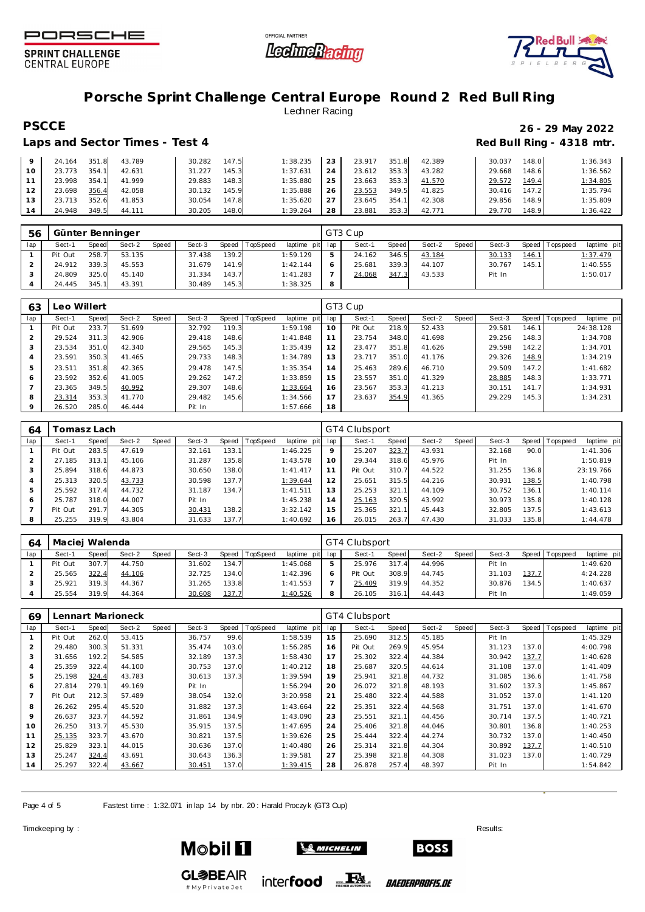





## **Porsche Sprint Challenge Central Europe Round 2 Red Bull Ring** Lechner Racing

### Laps and Sector Times - Test 4 **Red Bull Ring - 4318 mtr. Red Bull Ring - 4318 mtr.**

## **PSCCE 26 - 29 May 2022**

|    | 24.164 | 351.8 | 43.789 | 30.282 | 147.5 | 1:38.235 | 23 | 23.917 | 351.8 | 42.389 | 30.037 | 148.0 | 1:36.343 |
|----|--------|-------|--------|--------|-------|----------|----|--------|-------|--------|--------|-------|----------|
| 10 | 23.773 | 354.1 | 42.631 | 31.227 | 145.3 | 1:37.631 | 24 | 23.612 | 353.3 | 43.282 | 29.668 | 148.6 | 1:36.562 |
|    | 23.998 | 354.1 | 41.999 | 29.883 | 148.3 | 1:35.880 | 25 | 23.663 | 353.3 | 41.570 | 29.572 | 149.4 | 1:34.805 |
| 12 | 23.698 | 356.4 | 42.058 | 30.132 | 145.9 | 1:35.888 | 26 | 23.553 | 349.5 | 41.825 | 30.416 | 147.2 | 1:35.794 |
| 13 | 23.713 | 352.6 | 41.853 | 30.054 | 147.8 | 1:35.620 | 27 | 23.645 | 354.1 | 42.308 | 29.856 | 148.9 | 1:35.809 |
| 14 | 24.948 | 349.5 | 44.111 | 30.205 | 148.0 | 1:39.264 | 28 | 23.881 | 353.3 | 42.771 | 29.770 | 148.9 | 1:36.422 |

| 56  |         |              | Günter Benninger |       |        |       |                |                 |   | GT3 Cup |       |        |       |        |       |                 |             |
|-----|---------|--------------|------------------|-------|--------|-------|----------------|-----------------|---|---------|-------|--------|-------|--------|-------|-----------------|-------------|
| lap | Sect-1  | <b>Speed</b> | Sect-2           | Speed | Sect-3 |       | Speed TopSpeed | laptime pit lap |   | Sect-1  | Speed | Sect-2 | Speed | Sect-3 |       | Speed Tops peed | laptime pit |
|     | Pit Out | 258.7        | 53.135           |       | 37.438 | 139.2 |                | 1:59.129        |   | 24.162  | 346.5 | 43.184 |       | 30.133 | 146.7 |                 | 1:37.479    |
|     | 24.912  | 339.3        | 45.553           |       | 31.679 | 141.9 |                | 1:42.144        |   | 25.681  | 339.3 | 44.107 |       | 30.767 | 145.1 |                 | 1:40.555    |
|     | 24.809  | 325.0        | 45.140           |       | 31.334 | 143.7 |                | 1:41.283        |   | 24.068  | 347.3 | 43.533 |       | Pit In |       |                 | 1:50.017    |
|     | 24.445  | 345.1        | 43.391           |       | 30.489 | 145.3 |                | 1:38.325        | 8 |         |       |        |       |        |       |                 |             |

| 63  | eo Willert |       |        |       |        |           |                 |             |     | GT3 Cup |       |        |       |        |       |                               |
|-----|------------|-------|--------|-------|--------|-----------|-----------------|-------------|-----|---------|-------|--------|-------|--------|-------|-------------------------------|
| lap | Sect-1     | Speed | Sect-2 | Speed | Sect-3 | Speed   T | <b>TopSpeed</b> | laptime pit | lap | Sect-1  | Speed | Sect-2 | Speed | Sect-3 |       | Speed Topspeed<br>laptime pit |
|     | Pit Out    | 233.7 | 51.699 |       | 32.792 | 119.3     |                 | 1:59.198    | 10  | Pit Out | 218.9 | 52.433 |       | 29.581 | 146.1 | 24:38.128                     |
|     | 29.524     | 311.3 | 42.906 |       | 29.418 | 148.6     |                 | 1:41.848    |     | 23.754  | 348.0 | 41.698 |       | 29.256 | 148.3 | 1:34.708                      |
|     | 23.534     | 351.0 | 42.340 |       | 29.565 | 145.3     |                 | 1:35.439    | 12  | 23.477  | 351.8 | 41.626 |       | 29.598 | 142.2 | 1:34.701                      |
|     | 23.591     | 350.3 | 41.465 |       | 29.733 | 148.3     |                 | 1:34.789    | 13  | 23.717  | 351.0 | 41.176 |       | 29.326 | 148.9 | 1:34.219                      |
|     | 23.511     | 351.8 | 42.365 |       | 29.478 | 147.5     |                 | 1:35.354    | 14  | 25.463  | 289.6 | 46.710 |       | 29.509 | 147.2 | 1:41.682                      |
| 6   | 23.592     | 352.6 | 41.005 |       | 29.262 | 147.2     |                 | 1:33.859    | 15  | 23.557  | 351.0 | 41.329 |       | 28.885 | 148.3 | 1:33.771                      |
|     | 23.365     | 349.5 | 40.992 |       | 29.307 | 148.6     |                 | 1:33.664    | 16  | 23.567  | 353.3 | 41.213 |       | 30.151 | 141.7 | 1:34.931                      |
| 8   | 23.314     | 353.3 | 41.770 |       | 29.482 | 145.6     |                 | 1:34.566    |     | 23.637  | 354.9 | 41.365 |       | 29.229 | 145.3 | 1:34.231                      |
|     | 26.520     | 285.0 | 46.444 |       | Pit In |           |                 | 1:57.666    | 18  |         |       |        |       |        |       |                               |

| 64  |         | Tomasz Lach |        |       |        |       |                 |             |     | GT4 Clubsport |       |        |       |        |       |            |             |
|-----|---------|-------------|--------|-------|--------|-------|-----------------|-------------|-----|---------------|-------|--------|-------|--------|-------|------------|-------------|
| lap | Sect-1  | Speed       | Sect-2 | Speed | Sect-3 | Speed | <b>TopSpeed</b> | laptime pit | lap | Sect-1        | Speed | Sect-2 | Speed | Sect-3 | Speed | T ops peed | laptime pit |
|     | Pit Out | 283.5       | 47.619 |       | 32.161 | 133.1 |                 | 1:46.225    | 9   | 25.207        | 323.7 | 43.931 |       | 32.168 | 90.0  |            | 1:41.306    |
|     | 27.185  | 313.1       | 45.106 |       | 31.287 | 135.8 |                 | 1:43.578    | 10  | 29.344        | 318.6 | 45.976 |       | Pit In |       |            | 1:50.819    |
| 3   | 25.894  | 318.6       | 44.873 |       | 30.650 | 138.0 |                 | 1: 41.417   |     | Pit Out       | 310.7 | 44.522 |       | 31.255 | 136.8 |            | 23:19.766   |
| 4   | 25.313  | 320.5       | 43.733 |       | 30.598 | 137.7 |                 | 1:39.644    | 12  | 25.651        | 315.5 | 44.216 |       | 30.931 | 138.5 |            | 1:40.798    |
| 5   | 25.592  | 317.4       | 44.732 |       | 31.187 | 134.7 |                 | 1:41.511    | 13  | 25.253        | 321.1 | 44.109 |       | 30.752 | 136.1 |            | 1:40.114    |
| 6   | 25.787  | 318.0       | 44.007 |       | Pit In |       |                 | 1:45.238    | 4   | 25.163        | 320.5 | 43.992 |       | 30.973 | 135.8 |            | 1:40.128    |
|     | Pit Out | 291.7       | 44.305 |       | 30.431 | 138.2 |                 | 3:32.142    | 15  | 25.365        | 321.1 | 45.443 |       | 32.805 | 137.5 |            | 1:43.613    |
| 8   | 25.255  | 319.9       | 43.804 |       | 31.633 | 137.7 |                 | 1:40.692    | 16  | 26.015        | 263.7 | 47.430 |       | 31.033 | 135.8 |            | 1:44.478    |

| 64  | Maciej Walenda |       |        |       |        |       |          |             |     | GT4 Clubsport |       |        |         |        |       |                 |             |
|-----|----------------|-------|--------|-------|--------|-------|----------|-------------|-----|---------------|-------|--------|---------|--------|-------|-----------------|-------------|
| lap | Sect-′         | Speed | Sect-2 | Speed | Sect-3 | Speed | TopSpeed | laptime pit | lap | Sect-1        | Speed | Sect-2 | Speed I | Sect-3 |       | Speed Tops peed | laptime pit |
|     | Pit Out        | 307.7 | 44.750 |       | 31.602 | 134.7 |          | 1:45.068    |     | 25.976        | 317.4 | 44.996 |         | Pit In |       |                 | 1:49.620    |
|     | 25.565         | 322.4 | 44.106 |       | 32.725 | 134.0 |          | 1:42.396    |     | Pit Out       | 308.9 | 44.745 |         | 31.103 | 137.7 |                 | 4:24.228    |
|     | 25.921         | 319.3 | 44.367 |       | 31.265 | 133.8 |          | 1:41.553    |     | 25.409        | 319.9 | 44.352 |         | 30.876 | 134.5 |                 | 1:40.637    |
|     | 25.554         | 319.9 | 44.364 |       | 30.608 | 137.7 |          | 1:40.526    |     | 26.105        | 316.1 | 44.443 |         | Pit In |       |                 | 1:49.059    |

| 69  |         |       | Lennart Marioneck |       |        |       |         |             |     | GT4 Clubsport |       |        |       |        |       |           |             |
|-----|---------|-------|-------------------|-------|--------|-------|---------|-------------|-----|---------------|-------|--------|-------|--------|-------|-----------|-------------|
| lap | Sect-1  | Speed | Sect-2            | Speed | Sect-3 | Speed | opSpeed | laptime pit | lap | Sect-1        | Speed | Sect-2 | Speed | Sect-3 | Speed | Tops peed | laptime pit |
|     | Pit Out | 262.0 | 53.415            |       | 36.757 | 99.6  |         | 1:58.539    | 15  | 25.690        | 312.5 | 45.185 |       | Pit In |       |           | 1:45.329    |
| 2   | 29.480  | 300.3 | 51.331            |       | 35.474 | 103.0 |         | 1:56.285    | 16  | Pit Out       | 269.9 | 45.954 |       | 31.123 | 137.0 |           | 4:00.798    |
| 3   | 31.656  | 192.2 | 54.585            |       | 32.189 | 137.3 |         | 1:58.430    | 17  | 25.302        | 322.4 | 44.384 |       | 30.942 | 137.7 |           | 1:40.628    |
| 4   | 25.359  | 322.4 | 44.100            |       | 30.753 | 137.0 |         | 1:40.212    | 18  | 25.687        | 320.5 | 44.614 |       | 31.108 | 137.0 |           | 1: 41.409   |
| 5   | 25.198  | 324.4 | 43.783            |       | 30.613 | 137.3 |         | 1:39.594    | 19  | 25.941        | 321.8 | 44.732 |       | 31.085 | 136.6 |           | 1:41.758    |
| 6   | 27.814  | 279.1 | 49.169            |       | Pit In |       |         | 1:56.294    | 20  | 26.072        | 321.8 | 48.193 |       | 31.602 | 137.3 |           | 1:45.867    |
|     | Pit Out | 212.3 | 57.489            |       | 38.054 | 132.0 |         | 3:20.958    | 21  | 25.480        | 322.4 | 44.588 |       | 31.052 | 137.0 |           | 1:41.120    |
| 8   | 26.262  | 295.4 | 45.520            |       | 31.882 | 137.3 |         | 1:43.664    | 22  | 25.351        | 322.4 | 44.568 |       | 31.751 | 137.0 |           | 1:41.670    |
| 9   | 26.637  | 323.7 | 44.592            |       | 31.861 | 134.9 |         | 1:43.090    | 23  | 25.551        | 321.1 | 44.456 |       | 30.714 | 137.5 |           | 1:40.721    |
| 10  | 26.250  | 313.7 | 45.530            |       | 35.915 | 137.5 |         | 1:47.695    | 24  | 25.406        | 321.8 | 44.046 |       | 30.801 | 136.8 |           | 1:40.253    |
| 11  | 25.135  | 323.7 | 43.670            |       | 30.821 | 137.5 |         | 1:39.626    | 25  | 25.444        | 322.4 | 44.274 |       | 30.732 | 137.0 |           | 1:40.450    |
| 12  | 25.829  | 323.1 | 44.015            |       | 30.636 | 137.0 |         | 1:40.480    | 26  | 25.314        | 321.8 | 44.304 |       | 30.892 | 137.7 |           | 1:40.510    |
| 13  | 25.247  | 324.4 | 43.691            |       | 30.643 | 136.3 |         | 1:39.581    | 27  | 25.398        | 321.8 | 44.308 |       | 31.023 | 137.0 |           | 1:40.729    |
| 14  | 25.297  | 322.4 | 43.667            |       | 30.451 | 137.0 |         | 1:39.415    | 28  | 26.878        | 257.4 | 48.397 |       | Pit In |       |           | 1:54.842    |

Page 4 of 5 Fastest time : 1:32.071 in lap 14 by nbr. 20 : Harald Proczy k (GT3 Cup)

#MyPrivateJet

Timekeeping by : Results:  $\blacksquare$ 



**BOSS** 

*BAEDERPROFIS.DE*